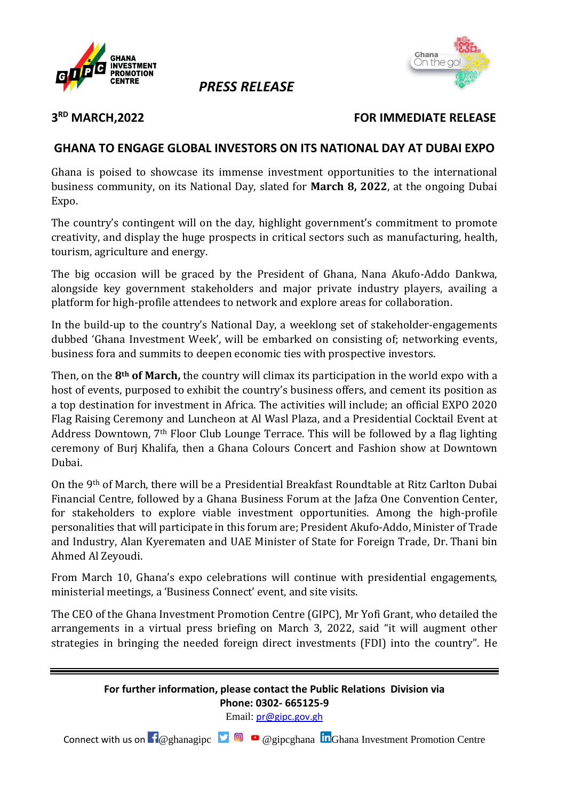

## *PRESS RELEASE*



#### 3<sup>RD</sup> MARCH, 2022

#### **FOR IMMEDIATE RELEASE**

### **GHANA TO ENGAGE GLOBAL INVESTORS ON ITS NATIONAL DAY AT DUBAI EXPO**

Ghana is poised to showcase its immense investment opportunities to the international business community, on its National Day, slated for **March 8, 2022**, at the ongoing Dubai Expo.

The country's contingent will on the day, highlight government's commitment to promote creativity, and display the huge prospects in critical sectors such as manufacturing, health, tourism, agriculture and energy.

The big occasion will be graced by the President of Ghana, Nana Akufo-Addo Dankwa, alongside key government stakeholders and major private industry players, availing a platform for high-profile attendees to network and explore areas for collaboration.

In the build-up to the country's National Day, a weeklong set of stakeholder-engagements dubbed 'Ghana Investment Week', will be embarked on consisting of; networking events, business fora and summits to deepen economic ties with prospective investors.

Then, on the **8th of March,** the country will climax its participation in the world expo with a host of events, purposed to exhibit the country's business offers, and cement its position as a top destination for investment in Africa. The activities will include; an official EXPO 2020 Flag Raising Ceremony and Luncheon at Al Wasl Plaza, and a Presidential Cocktail Event at Address Downtown, 7th Floor Club Lounge Terrace. This will be followed by a flag lighting ceremony of Burj Khalifa, then a Ghana Colours Concert and Fashion show at Downtown Dubai.

On the 9th of March, there will be a Presidential Breakfast Roundtable at Ritz Carlton Dubai Financial Centre, followed by a Ghana Business Forum at the Jafza One Convention Center, for stakeholders to explore viable investment opportunities. Among the high-profile personalities that will participate in this forum are; President Akufo-Addo, Minister of Trade and Industry, Alan Kyerematen and UAE Minister of State for Foreign Trade, Dr. Thani bin Ahmed Al Zeyoudi.

From March 10, Ghana's expo celebrations will continue with presidential engagements, ministerial meetings, a 'Business Connect' event, and site visits.

The CEO of the Ghana Investment Promotion Centre (GIPC), Mr Yofi Grant, who detailed the arrangements in a virtual press briefing on March 3, 2022, said "it will augment other strategies in bringing the needed foreign direct investments (FDI) into the country". He

### **For further information, please contact the Public Relations Division via Phone: 0302- 665125-9**

Email: [pr@gipc.gov.gh](mailto:pr@gipc.gov.gh)